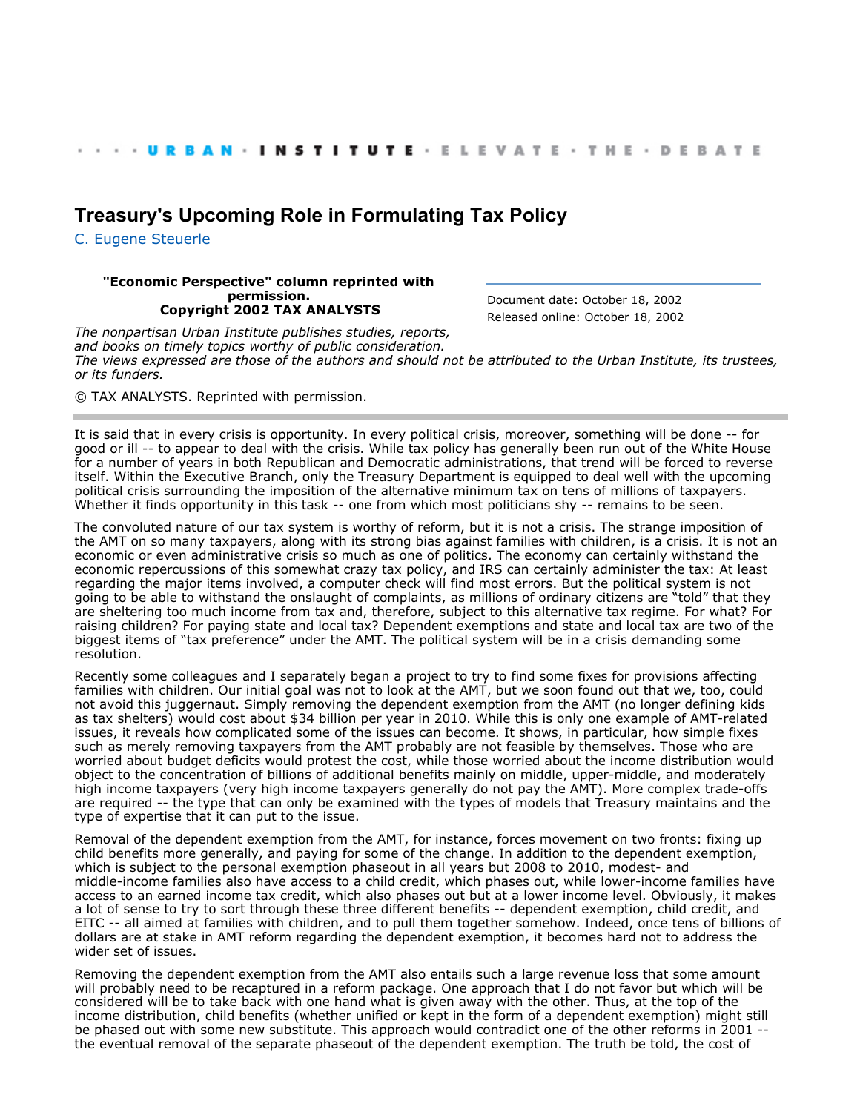## **[Treasury's Upcoming Role in Formulating Tax Policy](http://webarchive.urban.org/index.cfm)**

[C. Eugene Steuerle](http://www.urban.org/CEugeneSteuerle)

## **"Economic Perspective" column reprinted with permission. Copyright 2002 TAX ANALYSTS**

Document date: October 18, 2002 Released online: October 18, 2002

*The nonpartisan Urban Institute publishes studies, reports, and books on timely topics worthy of public consideration. The views expressed are those of the authors and should not be attributed to the Urban Institute, its trustees, or its funders.*

© TAX ANALYSTS. Reprinted with permission.

It is said that in every crisis is opportunity. In every political crisis, moreover, something will be done -- for good or ill -- to appear to deal with the crisis. While tax policy has generally been run out of the White House for a number of years in both Republican and Democratic administrations, that trend will be forced to reverse itself. Within the Executive Branch, only the Treasury Department is equipped to deal well with the upcoming political crisis surrounding the imposition of the alternative minimum tax on tens of millions of taxpayers. Whether it finds opportunity in this task -- one from which most politicians shy -- remains to be seen.

The convoluted nature of our tax system is worthy of reform, but it is not a crisis. The strange imposition of the AMT on so many taxpayers, along with its strong bias against families with children, is a crisis. It is not an economic or even administrative crisis so much as one of politics. The economy can certainly withstand the economic repercussions of this somewhat crazy tax policy, and IRS can certainly administer the tax: At least regarding the major items involved, a computer check will find most errors. But the political system is not going to be able to withstand the onslaught of complaints, as millions of ordinary citizens are "told" that they are sheltering too much income from tax and, therefore, subject to this alternative tax regime. For what? For raising children? For paying state and local tax? Dependent exemptions and state and local tax are two of the biggest items of "tax preference" under the AMT. The political system will be in a crisis demanding some resolution.

Recently some colleagues and I separately began a project to try to find some fixes for provisions affecting families with children. Our initial goal was not to look at the AMT, but we soon found out that we, too, could not avoid this juggernaut. Simply removing the dependent exemption from the AMT (no longer defining kids as tax shelters) would cost about \$34 billion per year in 2010. While this is only one example of AMT-related issues, it reveals how complicated some of the issues can become. It shows, in particular, how simple fixes such as merely removing taxpayers from the AMT probably are not feasible by themselves. Those who are worried about budget deficits would protest the cost, while those worried about the income distribution would object to the concentration of billions of additional benefits mainly on middle, upper-middle, and moderately high income taxpayers (very high income taxpayers generally do not pay the AMT). More complex trade-offs are required -- the type that can only be examined with the types of models that Treasury maintains and the type of expertise that it can put to the issue.

Removal of the dependent exemption from the AMT, for instance, forces movement on two fronts: fixing up child benefits more generally, and paying for some of the change. In addition to the dependent exemption, which is subject to the personal exemption phaseout in all years but 2008 to 2010, modest- and middle-income families also have access to a child credit, which phases out, while lower-income families have access to an earned income tax credit, which also phases out but at a lower income level. Obviously, it makes a lot of sense to try to sort through these three different benefits -- dependent exemption, child credit, and EITC -- all aimed at families with children, and to pull them together somehow. Indeed, once tens of billions of dollars are at stake in AMT reform regarding the dependent exemption, it becomes hard not to address the wider set of issues.

Removing the dependent exemption from the AMT also entails such a large revenue loss that some amount will probably need to be recaptured in a reform package. One approach that I do not favor but which will be considered will be to take back with one hand what is given away with the other. Thus, at the top of the income distribution, child benefits (whether unified or kept in the form of a dependent exemption) might still be phased out with some new substitute. This approach would contradict one of the other reforms in 2001 - the eventual removal of the separate phaseout of the dependent exemption. The truth be told, the cost of